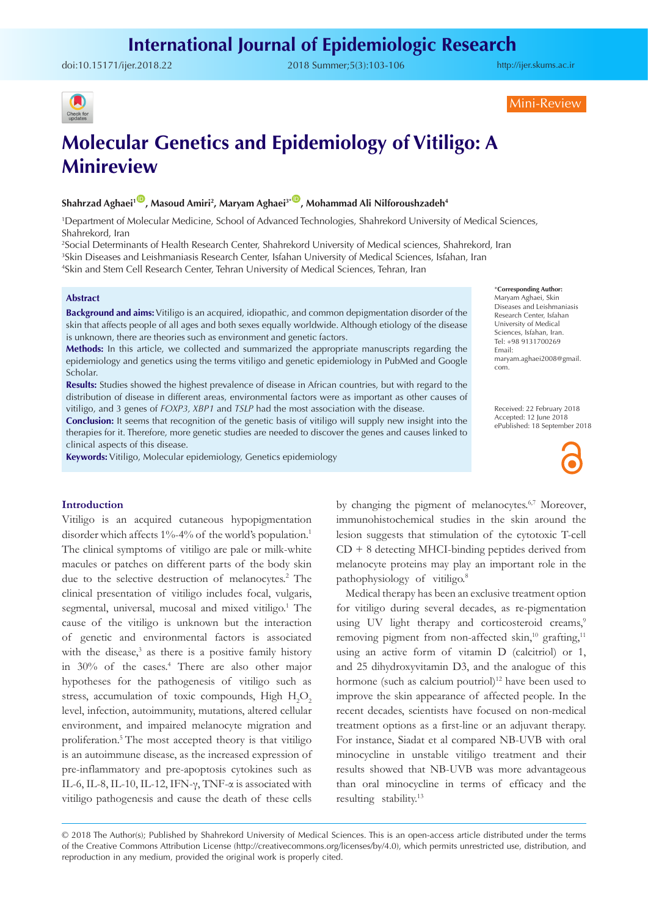doi:10.15171/ijer.2018.22 2018 Summer;5(3):103-106

<http://ijer.skums.ac.ir>



Mini-Review

# **Molecular Genetics and Epidemiology of Vitiligo: A Minireview**

# **Shahrzad Aghaei1** [ID](https://orcid.org/0000-0002-4623-289X) **, Masoud Amiri2 , Maryam Aghaei3\*** [ID](https://orcid.org/0000-0003-4995-8773) **, Mohammad Ali Nilforoushzadeh4**

1 Department of Molecular Medicine, School of Advanced Technologies, Shahrekord University of Medical Sciences, Shahrekord, Iran

2 Social Determinants of Health Research Center, Shahrekord University of Medical sciences, Shahrekord, Iran 3 Skin Diseases and Leishmaniasis Research Center, Isfahan University of Medical Sciences, Isfahan, Iran 4 Skin and Stem Cell Research Center, Tehran University of Medical Sciences, Tehran, Iran

#### **Abstract**

**Background and aims:** Vitiligo is an acquired, idiopathic, and common depigmentation disorder of the skin that affects people of all ages and both sexes equally worldwide. Although etiology of the disease is unknown, there are theories such as environment and genetic factors.

**Methods:** In this article, we collected and summarized the appropriate manuscripts regarding the epidemiology and genetics using the terms vitiligo and genetic epidemiology in PubMed and Google Scholar.

**Results:** Studies showed the highest prevalence of disease in African countries, but with regard to the distribution of disease in different areas, environmental factors were as important as other causes of vitiligo, and 3 genes of *FOXP3, XBP1* and *TSLP* had the most association with the disease.

**Conclusion:** It seems that recognition of the genetic basis of vitiligo will supply new insight into the therapies for it. Therefore, more genetic studies are needed to discover the genes and causes linked to clinical aspects of this disease.

**Keywords:** Vitiligo, Molecular epidemiology, Genetics epidemiology

#### \***Corresponding Author:**

Maryam Aghaei, Skin Diseases and Leishmaniasis Research Center, Isfahan University of Medical Sciences, Isfahan, Iran. Tel: +98 9131700269 Email: maryam.aghaei2008@gmail. com.

Received: 22 February 2018 Accepted: 12 June 2018 ePublished: 18 September 2018



#### **Introduction**

Vitiligo is an acquired cutaneous hypopigmentation disorder which affects 1%-4% of the world's population.<sup>1</sup> The clinical symptoms of vitiligo are pale or milk-white macules or patches on different parts of the body skin due to the selective destruction of melanocytes.<sup>2</sup> The clinical presentation of vitiligo includes focal, vulgaris, segmental, universal, mucosal and mixed vitiligo.<sup>1</sup> The cause of the vitiligo is unknown but the interaction of genetic and environmental factors is associated with the disease,<sup>3</sup> as there is a positive family history in 30% of the cases.4 There are also other major hypotheses for the pathogenesis of vitiligo such as stress, accumulation of toxic compounds, High  $H_2O_2$ level, infection, autoimmunity, mutations, altered cellular environment, and impaired melanocyte migration and proliferation.5 The most accepted theory is that vitiligo is an autoimmune disease, as the increased expression of pre-inflammatory and pre-apoptosis cytokines such as IL-6, IL-8, IL-10, IL-12, IFN- $\gamma$ , TNF- $\alpha$  is associated with vitiligo pathogenesis and cause the death of these cells

by changing the pigment of melanocytes.<sup>6,7</sup> Moreover, immunohistochemical studies in the skin around the lesion suggests that stimulation of the cytotoxic T-cell CD + 8 detecting MHCI-binding peptides derived from melanocyte proteins may play an important role in the pathophysiology of vitiligo.8

Medical therapy has been an exclusive treatment option for vitiligo during several decades, as re-pigmentation using UV light therapy and corticosteroid creams,<sup>9</sup> removing pigment from non-affected skin, $^{10}$  grafting, $^{11}$ using an active form of vitamin D (calcitriol) or 1, and 25 dihydroxyvitamin D3, and the analogue of this hormone (such as calcium poutriol)<sup>12</sup> have been used to improve the skin appearance of affected people. In the recent decades, scientists have focused on non-medical treatment options as a first-line or an adjuvant therapy. For instance, Siadat et al compared NB-UVB with oral minocycline in unstable vitiligo treatment and their results showed that NB-UVB was more advantageous than oral minocycline in terms of efficacy and the resulting stability.<sup>13</sup>

<sup>© 2018</sup> The Author(s); Published by Shahrekord University of Medical Sciences. This is an open-access article distributed under the terms of the Creative Commons Attribution License (http://creativecommons.org/licenses/by/4.0), which permits unrestricted use, distribution, and reproduction in any medium, provided the original work is properly cited.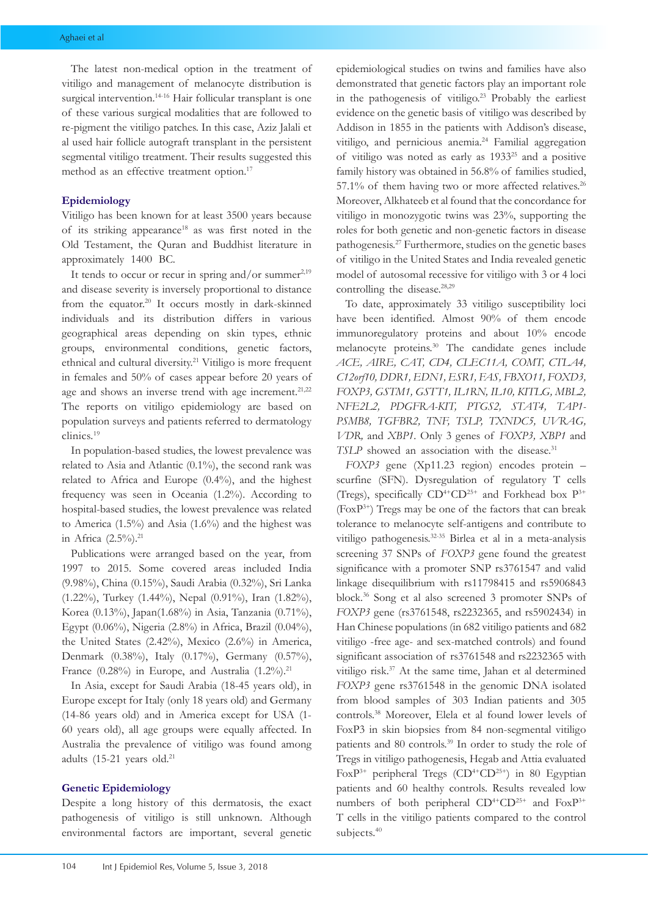The latest non-medical option in the treatment of vitiligo and management of melanocyte distribution is surgical intervention.<sup>14-16</sup> Hair follicular transplant is one of these various surgical modalities that are followed to re-pigment the vitiligo patches. In this case, Aziz Jalali et al used hair follicle autograft transplant in the persistent segmental vitiligo treatment. Their results suggested this method as an effective treatment option.<sup>17</sup>

## **Epidemiology**

Vitiligo has been known for at least 3500 years because of its striking appearance18 as was first noted in the Old Testament, the Quran and Buddhist literature in approximately 1400 BC.

It tends to occur or recur in spring and/or summer $2,19$ and disease severity is inversely proportional to distance from the equator.<sup>20</sup> It occurs mostly in dark-skinned individuals and its distribution differs in various geographical areas depending on skin types, ethnic groups, environmental conditions, genetic factors, ethnical and cultural diversity.21 Vitiligo is more frequent in females and 50% of cases appear before 20 years of age and shows an inverse trend with age increment.<sup>21,22</sup> The reports on vitiligo epidemiology are based on population surveys and patients referred to dermatology clinics.19

In population-based studies, the lowest prevalence was related to Asia and Atlantic (0.1%), the second rank was related to Africa and Europe (0.4%), and the highest frequency was seen in Oceania (1.2%). According to hospital-based studies, the lowest prevalence was related to America (1.5%) and Asia (1.6%) and the highest was in Africa  $(2.5\%)$ .<sup>21</sup>

Publications were arranged based on the year, from 1997 to 2015. Some covered areas included India (9.98%), China (0.15%), Saudi Arabia (0.32%), Sri Lanka (1.22%), Turkey (1.44%), Nepal (0.91%), Iran (1.82%), Korea (0.13%), Japan(1.68%) in Asia, Tanzania (0.71%), Egypt (0.06%), Nigeria (2.8%) in Africa, Brazil (0.04%), the United States (2.42%), Mexico (2.6%) in America, Denmark (0.38%), Italy (0.17%), Germany (0.57%), France (0.28%) in Europe, and Australia  $(1.2\%)$ .<sup>21</sup>

In Asia, except for Saudi Arabia (18-45 years old), in Europe except for Italy (only 18 years old) and Germany (14-86 years old) and in America except for USA (1- 60 years old), all age groups were equally affected. In Australia the prevalence of vitiligo was found among adults (15-21 years old.<sup>21</sup>

## **Genetic Epidemiology**

Despite a long history of this dermatosis, the exact pathogenesis of vitiligo is still unknown. Although environmental factors are important, several genetic

epidemiological studies on twins and families have also demonstrated that genetic factors play an important role in the pathogenesis of vitiligo.<sup>23</sup> Probably the earliest evidence on the genetic basis of vitiligo was described by Addison in 1855 in the patients with Addison's disease, vitiligo, and pernicious anemia.24 Familial aggregation of vitiligo was noted as early as 193325 and a positive family history was obtained in 56.8% of families studied, 57.1% of them having two or more affected relatives.<sup>26</sup> Moreover, Alkhateeb et al found that the concordance for vitiligo in monozygotic twins was 23%, supporting the roles for both genetic and non-genetic factors in disease pathogenesis.27 Furthermore, studies on the genetic bases of vitiligo in the United States and India revealed genetic model of autosomal recessive for vitiligo with 3 or 4 loci controlling the disease.<sup>28,29</sup>

To date, approximately 33 vitiligo susceptibility loci have been identified. Almost 90% of them encode immunoregulatory proteins and about 10% encode melanocyte proteins.30 The candidate genes include *ACE, AIRE, CAT, CD4, CLEC11A, COMT, CTLA4, C12orf10, DDR1, EDN1, ESR1, FAS, FBXO11, FOXD3, FOXP3, GSTM1, GSTT1, IL1RN, IL10, KITLG, MBL2, NFE2L2, PDGFRA-KIT, PTGS2, STAT4, TAP1- PSMB8, TGFBR2, TNF, TSLP, TXNDC5, UVRAG, VDR,* and *XBP1*. Only 3 genes of *FOXP3, XBP1* and *TSLP* showed an association with the disease.<sup>31</sup>

*FOXP3* gene (Xp11.23 region) encodes protein – scurfine (SFN). Dysregulation of regulatory T cells (Tregs), specifically  $CD^{4+}CD^{25+}$  and Forkhead box  $P^{3+}$ (FoxP3+) Tregs may be one of the factors that can break tolerance to melanocyte self-antigens and contribute to vitiligo pathogenesis.32-35 Birlea et al in a meta-analysis screening 37 SNPs of *FOXP3* gene found the greatest significance with a promoter SNP rs3761547 and valid linkage disequilibrium with rs11798415 and rs5906843 block.36 Song et al also screened 3 promoter SNPs of *FOXP3* gene (rs3761548, rs2232365, and rs5902434) in Han Chinese populations (in 682 vitiligo patients and 682 vitiligo -free age- and sex-matched controls) and found significant association of rs3761548 and rs2232365 with vitiligo risk.<sup>37</sup> At the same time, Jahan et al determined *FOXP3* gene rs3761548 in the genomic DNA isolated from blood samples of 303 Indian patients and 305 controls.38 Moreover, Elela et al found lower levels of FoxP3 in skin biopsies from 84 non-segmental vitiligo patients and 80 controls.39 In order to study the role of Tregs in vitiligo pathogenesis, Hegab and Attia evaluated Fox $P^{3+}$  peripheral Tregs (CD<sup>4+</sup>CD<sup>25+</sup>) in 80 Egyptian patients and 60 healthy controls. Results revealed low numbers of both peripheral  $CD^{4+}CD^{25+}$  and  $FoxP^{3+}$ T cells in the vitiligo patients compared to the control subjects.<sup>40</sup>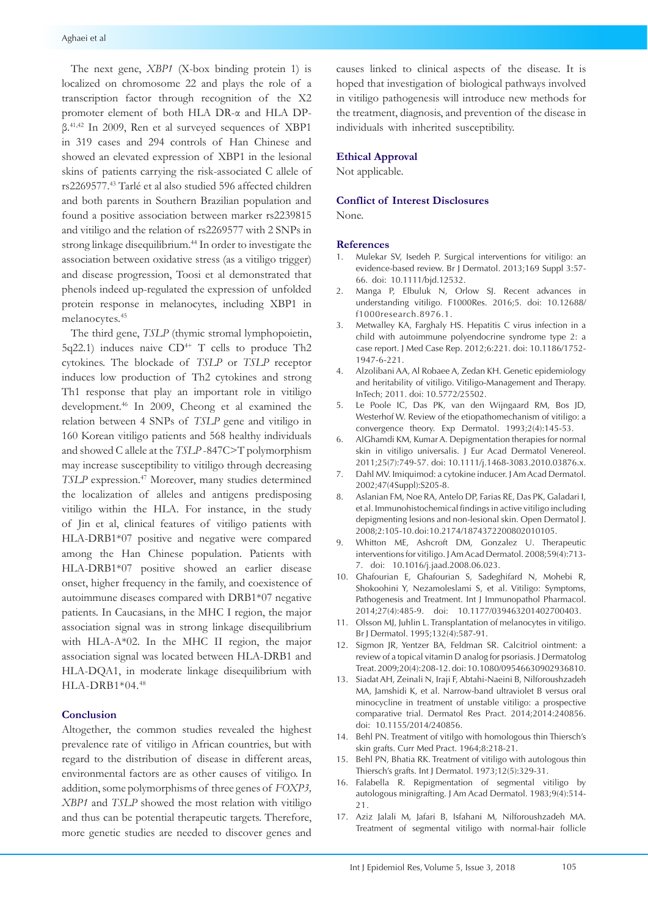The next gene, *XBP1* (X-box binding protein 1) is localized on chromosome 22 and plays the role of a transcription factor through recognition of the X2 promoter element of both HLA DR-α and HLA DPβ.41,42 In 2009, Ren et al surveyed sequences of XBP1 in 319 cases and 294 controls of Han Chinese and showed an elevated expression of XBP1 in the lesional skins of patients carrying the risk-associated C allele of rs2269577.43 Tarlé et al also studied 596 affected children and both parents in Southern Brazilian population and found a positive association between marker rs2239815 and vitiligo and the relation of rs2269577 with 2 SNPs in strong linkage disequilibrium.<sup>44</sup> In order to investigate the association between oxidative stress (as a vitiligo trigger) and disease progression, Toosi et al demonstrated that phenols indeed up-regulated the expression of unfolded protein response in melanocytes, including XBP1 in melanocytes.45

The third gene, *TSLP* (thymic stromal lymphopoietin, 5q22.1) induces naive  $CD^{4+}$  T cells to produce Th2 cytokines. The blockade of *TSLP* or *TSLP* receptor induces low production of Th2 cytokines and strong Th1 response that play an important role in vitiligo development.46 In 2009, Cheong et al examined the relation between 4 SNPs of *TSLP* gene and vitiligo in 160 Korean vitiligo patients and 568 healthy individuals and showed C allele at the *TSLP* -847C>T polymorphism may increase susceptibility to vitiligo through decreasing *TSLP* expression.<sup>47</sup> Moreover, many studies determined the localization of alleles and antigens predisposing vitiligo within the HLA. For instance, in the study of Jin et al, clinical features of vitiligo patients with HLA-DRB1\*07 positive and negative were compared among the Han Chinese population. Patients with HLA-DRB1\*07 positive showed an earlier disease onset, higher frequency in the family, and coexistence of autoimmune diseases compared with DRB1\*07 negative patients. In Caucasians, in the MHC I region, the major association signal was in strong linkage disequilibrium with HLA-A\*02. In the MHC II region, the major association signal was located between HLA-DRB1 and HLA-DQA1, in moderate linkage disequilibrium with HLA-DRB1\*04.48

## **Conclusion**

Altogether, the common studies revealed the highest prevalence rate of vitiligo in African countries, but with regard to the distribution of disease in different areas, environmental factors are as other causes of vitiligo. In addition, some polymorphisms of three genes of *FOXP3, XBP1* and *TSLP* showed the most relation with vitiligo and thus can be potential therapeutic targets. Therefore, more genetic studies are needed to discover genes and

causes linked to clinical aspects of the disease. It is hoped that investigation of biological pathways involved in vitiligo pathogenesis will introduce new methods for the treatment, diagnosis, and prevention of the disease in individuals with inherited susceptibility.

#### **Ethical Approval**

Not applicable.

#### **Conflict of Interest Disclosures**

None.

#### **References**

- 1. Mulekar SV, Isedeh P. Surgical interventions for vitiligo: an evidence-based review. Br J Dermatol. 2013;169 Suppl 3:57- 66. doi: 10.1111/bjd.12532.
- 2. Manga P, Elbuluk N, Orlow SJ. Recent advances in understanding vitiligo. F1000Res. 2016;5. doi: 10.12688/ f1000research.8976.1.
- 3. Metwalley KA, Farghaly HS. Hepatitis C virus infection in a child with autoimmune polyendocrine syndrome type 2: a case report. J Med Case Rep. 2012;6:221. doi: 10.1186/1752- 1947-6-221.
- 4. Alzolibani AA, Al Robaee A, Zedan KH. Genetic epidemiology and heritability of vitiligo. Vitiligo-Management and Therapy. InTech; 2011. doi: 10.5772/25502.
- 5. Le Poole IC, Das PK, van den Wijngaard RM, Bos JD, Westerhof W. Review of the etiopathomechanism of vitiligo: a convergence theory. Exp Dermatol. 1993;2(4):145-53.
- 6. AlGhamdi KM, Kumar A. Depigmentation therapies for normal skin in vitiligo universalis. J Eur Acad Dermatol Venereol. 2011;25(7):749-57. doi: 10.1111/j.1468-3083.2010.03876.x.
- 7. Dahl MV. Imiquimod: a cytokine inducer. J Am Acad Dermatol. 2002;47(4 Suppl):S205-8.
- 8. Aslanian FM, Noe RA, Antelo DP, Farias RE, Das PK, Galadari I, et al. Immunohistochemical findings in active vitiligo including depigmenting lesions and non-lesional skin. Open Dermatol J. 2008;2:105-10. doi: 10.2174/1874372200802010105.
- 9. Whitton ME, Ashcroft DM, Gonzalez U. Therapeutic interventions for vitiligo. J Am Acad Dermatol. 2008;59(4):713- 7. doi: 10.1016/j.jaad.2008.06.023.
- 10. Ghafourian E, Ghafourian S, Sadeghifard N, Mohebi R, Shokoohini Y, Nezamoleslami S, et al. Vitiligo: Symptoms, Pathogenesis and Treatment. Int J Immunopathol Pharmacol. 2014;27(4):485-9. doi: 10.1177/039463201402700403.
- 11. Olsson MJ, Juhlin L. Transplantation of melanocytes in vitiligo. Br J Dermatol. 1995;132(4):587-91.
- 12. Sigmon JR, Yentzer BA, Feldman SR. Calcitriol ointment: a review of a topical vitamin D analog for psoriasis. J Dermatolog Treat. 2009;20(4):208-12. doi: 10.1080/09546630902936810.
- 13. Siadat AH, Zeinali N, Iraji F, Abtahi-Naeini B, Nilforoushzadeh MA, Jamshidi K, et al. Narrow-band ultraviolet B versus oral minocycline in treatment of unstable vitiligo: a prospective comparative trial. Dermatol Res Pract. 2014;2014:240856. doi: 10.1155/2014/240856.
- 14. Behl PN. Treatment of vitilgo with homologous thin Thiersch's skin grafts. Curr Med Pract. 1964;8:218-21.
- 15. Behl PN, Bhatia RK. Treatment of vitiligo with autologous thin Thiersch's grafts. Int J Dermatol. 1973;12(5):329-31.
- 16. Falabella R. Repigmentation of segmental vitiligo by autologous minigrafting. J Am Acad Dermatol. 1983;9(4):514- 21.
- 17. Aziz Jalali M, Jafari B, Isfahani M, Nilforoushzadeh MA. Treatment of segmental vitiligo with normal-hair follicle